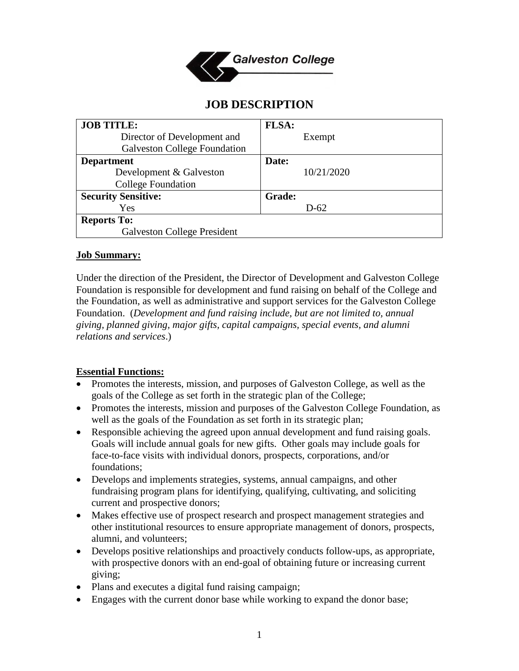

# **JOB DESCRIPTION**

| <b>JOB TITLE:</b>                   | FLSA:         |
|-------------------------------------|---------------|
| Director of Development and         | Exempt        |
| <b>Galveston College Foundation</b> |               |
| <b>Department</b>                   | Date:         |
| Development & Galveston             | 10/21/2020    |
| <b>College Foundation</b>           |               |
| <b>Security Sensitive:</b>          | <b>Grade:</b> |
| Yes                                 | $D-62$        |
| <b>Reports To:</b>                  |               |
| <b>Galveston College President</b>  |               |

### **Job Summary:**

Under the direction of the President, the Director of Development and Galveston College Foundation is responsible for development and fund raising on behalf of the College and the Foundation, as well as administrative and support services for the Galveston College Foundation. (*Development and fund raising include, but are not limited to, annual giving, planned giving, major gifts, capital campaigns, special events, and alumni relations and services*.)

### **Essential Functions:**

- Promotes the interests, mission, and purposes of Galveston College, as well as the goals of the College as set forth in the strategic plan of the College;
- Promotes the interests, mission and purposes of the Galveston College Foundation, as well as the goals of the Foundation as set forth in its strategic plan;
- Responsible achieving the agreed upon annual development and fund raising goals. Goals will include annual goals for new gifts. Other goals may include goals for face-to-face visits with individual donors, prospects, corporations, and/or foundations;
- Develops and implements strategies, systems, annual campaigns, and other fundraising program plans for identifying, qualifying, cultivating, and soliciting current and prospective donors;
- Makes effective use of prospect research and prospect management strategies and other institutional resources to ensure appropriate management of donors, prospects, alumni, and volunteers;
- Develops positive relationships and proactively conducts follow-ups, as appropriate, with prospective donors with an end-goal of obtaining future or increasing current giving;
- Plans and executes a digital fund raising campaign;
- Engages with the current donor base while working to expand the donor base;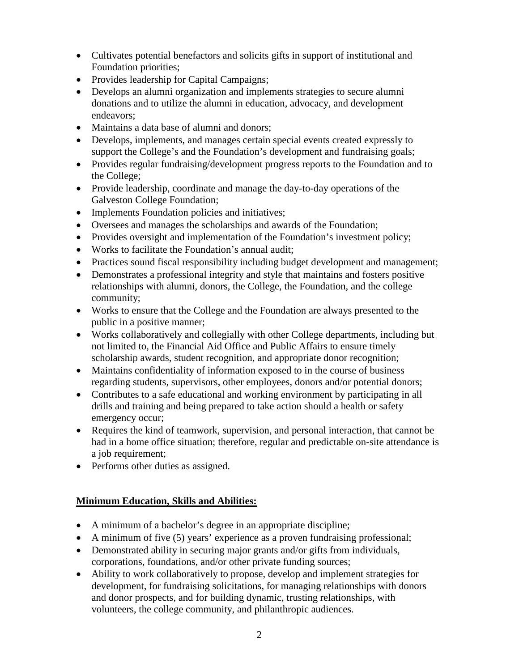- Cultivates potential benefactors and solicits gifts in support of institutional and Foundation priorities;
- Provides leadership for Capital Campaigns;
- Develops an alumni organization and implements strategies to secure alumni donations and to utilize the alumni in education, advocacy, and development endeavors;
- Maintains a data base of alumni and donors:
- Develops, implements, and manages certain special events created expressly to support the College's and the Foundation's development and fundraising goals;
- Provides regular fundraising/development progress reports to the Foundation and to the College;
- Provide leadership, coordinate and manage the day-to-day operations of the Galveston College Foundation;
- Implements Foundation policies and initiatives;
- Oversees and manages the scholarships and awards of the Foundation;
- Provides oversight and implementation of the Foundation's investment policy;
- Works to facilitate the Foundation's annual audit;
- Practices sound fiscal responsibility including budget development and management;
- Demonstrates a professional integrity and style that maintains and fosters positive relationships with alumni, donors, the College, the Foundation, and the college community;
- Works to ensure that the College and the Foundation are always presented to the public in a positive manner;
- Works collaboratively and collegially with other College departments, including but not limited to, the Financial Aid Office and Public Affairs to ensure timely scholarship awards, student recognition, and appropriate donor recognition;
- Maintains confidentiality of information exposed to in the course of business regarding students, supervisors, other employees, donors and/or potential donors;
- Contributes to a safe educational and working environment by participating in all drills and training and being prepared to take action should a health or safety emergency occur;
- Requires the kind of teamwork, supervision, and personal interaction, that cannot be had in a home office situation; therefore, regular and predictable on-site attendance is a job requirement;
- Performs other duties as assigned.

## **Minimum Education, Skills and Abilities:**

- A minimum of a bachelor's degree in an appropriate discipline;
- A minimum of five (5) years' experience as a proven fundraising professional;
- Demonstrated ability in securing major grants and/or gifts from individuals, corporations, foundations, and/or other private funding sources;
- Ability to work collaboratively to propose, develop and implement strategies for development, for fundraising solicitations, for managing relationships with donors and donor prospects, and for building dynamic, trusting relationships, with volunteers, the college community, and philanthropic audiences.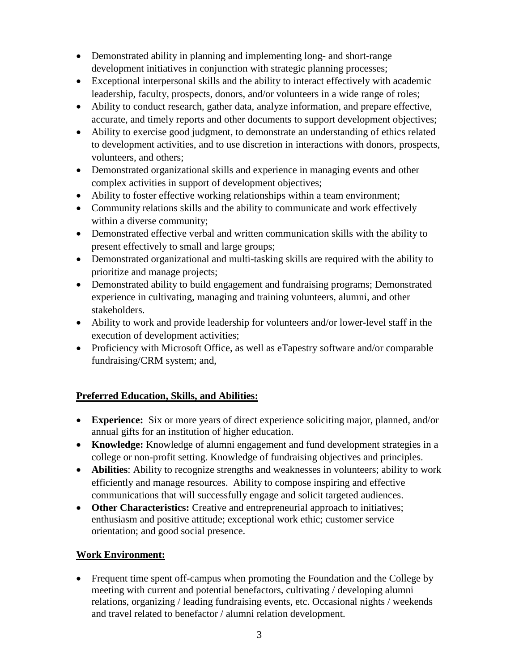- Demonstrated ability in planning and implementing long- and short-range development initiatives in conjunction with strategic planning processes;
- Exceptional interpersonal skills and the ability to interact effectively with academic leadership, faculty, prospects, donors, and/or volunteers in a wide range of roles;
- Ability to conduct research, gather data, analyze information, and prepare effective, accurate, and timely reports and other documents to support development objectives;
- Ability to exercise good judgment, to demonstrate an understanding of ethics related to development activities, and to use discretion in interactions with donors, prospects, volunteers, and others;
- Demonstrated organizational skills and experience in managing events and other complex activities in support of development objectives;
- Ability to foster effective working relationships within a team environment;
- Community relations skills and the ability to communicate and work effectively within a diverse community;
- Demonstrated effective verbal and written communication skills with the ability to present effectively to small and large groups;
- Demonstrated organizational and multi-tasking skills are required with the ability to prioritize and manage projects;
- Demonstrated ability to build engagement and fundraising programs; Demonstrated experience in cultivating, managing and training volunteers, alumni, and other stakeholders.
- Ability to work and provide leadership for volunteers and/or lower-level staff in the execution of development activities;
- Proficiency with Microsoft Office, as well as eTapestry software and/or comparable fundraising/CRM system; and,

## **Preferred Education, Skills, and Abilities:**

- **Experience:** Six or more years of direct experience soliciting major, planned, and/or annual gifts for an institution of higher education.
- **Knowledge:** Knowledge of alumni engagement and fund development strategies in a college or non-profit setting. Knowledge of fundraising objectives and principles.
- **Abilities**: Ability to recognize strengths and weaknesses in volunteers; ability to work efficiently and manage resources. Ability to compose inspiring and effective communications that will successfully engage and solicit targeted audiences.
- **Other Characteristics:** Creative and entrepreneurial approach to initiatives; enthusiasm and positive attitude; exceptional work ethic; customer service orientation; and good social presence.

## **Work Environment:**

• Frequent time spent off-campus when promoting the Foundation and the College by meeting with current and potential benefactors, cultivating / developing alumni relations, organizing / leading fundraising events, etc. Occasional nights / weekends and travel related to benefactor / alumni relation development.